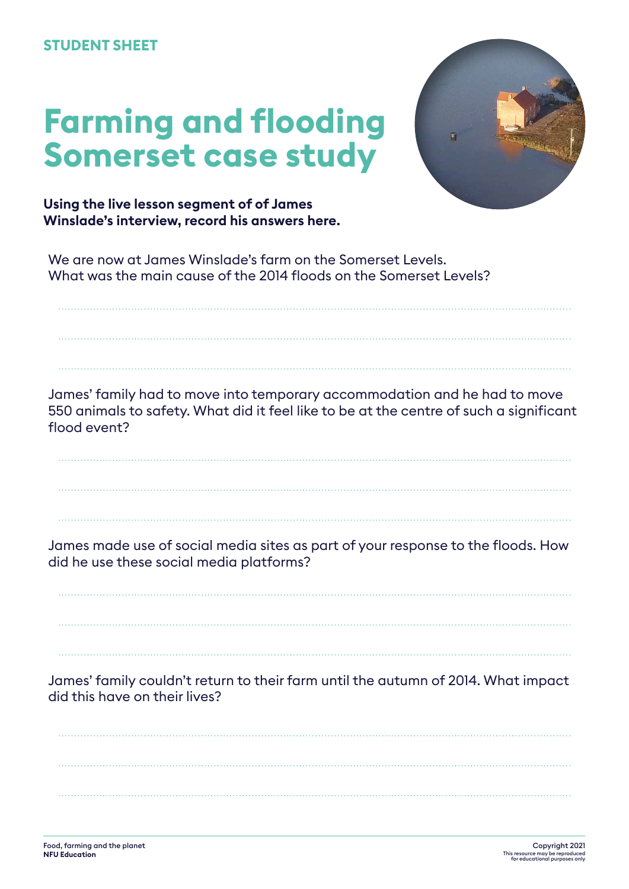## **STUDENT SHEET**

## **Farming and flooding Somerset case study**



**Using the live lesson segment of of James Winslade's interview, record his answers here.**

We are now at James Winslade's farm on the Somerset Levels. What was the main cause of the 2014 floods on the Somerset Levels?

James' family had to move into temporary accommodation and he had to move 550 animals to safety. What did it feel like to be at the centre of such a significant flood event?

James made use of social media sites as part of your response to the floods. How did he use these social media platforms?

James' family couldn't return to their farm until the autumn of 2014. What impact did this have on their lives?